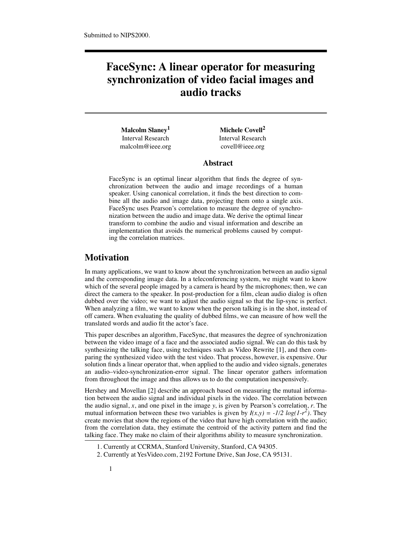# **FaceSync: A linear operator for measuring synchronization of video facial images and audio tracks**

**Malcolm Slaney1 Michele Covell2** Interval Research Interval Research malcolm@ieee.org covell@ieee.org

#### **Abstract**

FaceSync is an optimal linear algorithm that finds the degree of synchronization between the audio and image recordings of a human speaker. Using canonical correlation, it finds the best direction to combine all the audio and image data, projecting them onto a single axis. FaceSync uses Pearson's correlation to measure the degree of synchronization between the audio and image data. We derive the optimal linear transform to combine the audio and visual information and describe an implementation that avoids the numerical problems caused by computing the correlation matrices.

# **Motivation**

In many applications, we want to know about the synchronization between an audio signal and the corresponding image data. In a teleconferencing system, we might want to know which of the several people imaged by a camera is heard by the microphones; then, we can direct the camera to the speaker. In post-production for a film, clean audio dialog is often dubbed over the video; we want to adjust the audio signal so that the lip-sync is perfect. When analyzing a film, we want to know when the person talking is in the shot, instead of off camera. When evaluating the quality of dubbed films, we can measure of how well the translated words and audio fit the actor's face.

This paper describes an algorithm, FaceSync, that measures the degree of synchronization between the video image of a face and the associated audio signal. We can do this task by synthesizing the talking face, using techniques such as Video Rewrite [1], and then comparing the synthesized video with the test video. That process, however, is expensive. Our solution finds a linear operator that, when applied to the audio and video signals, generates an audio–video-synchronization-error signal. The linear operator gathers information from throughout the image and thus allows us to do the computation inexpensively.

Hershey and Movellan [2] describe an approach based on measuring the mutual information between the audio signal and individual pixels in the video. The correlation between the audio signal, *x*, and one pixel in the image *y*, is given by Pearson's correlation, *r*. The mutual information between these two variables is given by  $I(x,y) = -1/2 \log(1-r^2)$ . They create movies that show the regions of the video that have high correlation with the audio; from the correlation data, they estimate the centroid of the activity pattern and find the talking face. They make no claim of their algorithms ability to measure synchronization.

<sup>1.</sup> Currently at CCRMA, Stanford University, Stanford, CA 94305.

<sup>2.</sup> Currently at YesVideo.com, 2192 Fortune Drive, San Jose, CA 95131.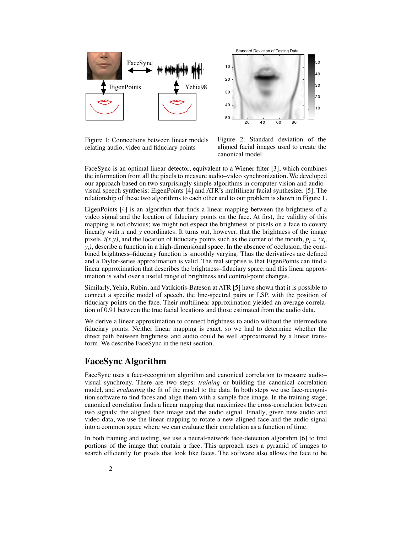

Figure 1: Connections between linear models relating audio, video and fiduciary points

Figure 2: Standard deviation of the aligned facial images used to create the canonical model.

20 40 60 80

Standard Deviation of Testing Data

FaceSync is an optimal linear detector, equivalent to a Wiener filter [3], which combines the information from all the pixels to measure audio–video synchronization. We developed our approach based on two surprisingly simple algorithms in computer-vision and audio– visual speech synthesis: EigenPoints [4] and ATR's multilinear facial synthesizer [5]. The relationship of these two algorithms to each other and to our problem is shown in Figure 1.

EigenPoints [4] is an algorithm that finds a linear mapping between the brightness of a video signal and the location of fiduciary points on the face. At first, the validity of this mapping is not obvious; we might not expect the brightness of pixels on a face to covary linearly with *x* and *y* coordinates. It turns out, however, that the brightness of the image pixels,  $i(x,y)$ , and the location of fiduciary points such as the corner of the mouth,  $p_i = (x_i, y_i)$ *yi )*, describe a function in a high-dimensional space. In the absence of occlusion, the combined brightness–fiduciary function is smoothly varying. Thus the derivatives are defined and a Taylor-series approximation is valid. The real surprise is that EigenPoints can find a linear approximation that describes the brightness–fiduciary space, and this linear approximation is valid over a useful range of brightness and control-point changes.

Similarly, Yehia, Rubin, and Vatikiotis-Bateson at ATR [5] have shown that it is possible to connect a specific model of speech, the line-spectral pairs or LSP, with the position of fiduciary points on the face. Their multilinear approximation yielded an average correlation of 0.91 between the true facial locations and those estimated from the audio data.

We derive a linear approximation to connect brightness to audio without the intermediate fiduciary points. Neither linear mapping is exact, so we had to determine whether the direct path between brightness and audio could be well approximated by a linear transform. We describe FaceSync in the next section.

# **FaceSync Algorithm**

FaceSync uses a face-recognition algorithm and canonical correlation to measure audio– visual synchrony. There are two steps: *training* or building the canonical correlation model, and *evaluating* the fit of the model to the data. In both steps we use face-recognition software to find faces and align them with a sample face image. In the training stage, canonical correlation finds a linear mapping that maximizes the cross-correlation between two signals: the aligned face image and the audio signal. Finally, given new audio and video data, we use the linear mapping to rotate a new aligned face and the audio signal into a common space where we can evaluate their correlation as a function of time.

In both training and testing, we use a neural-network face-detection algorithm [6] to find portions of the image that contain a face. This approach uses a pyramid of images to search efficiently for pixels that look like faces. The software also allows the face to be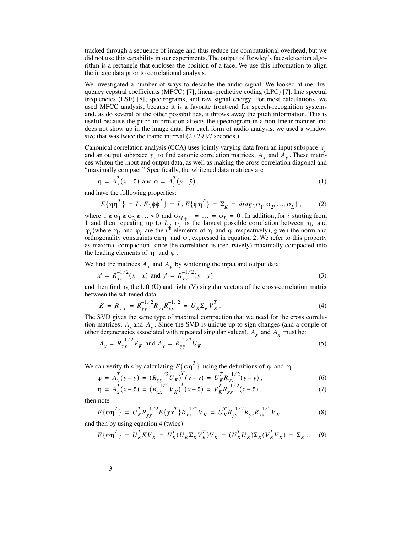tracked through a sequence of image and thus reduce the computational overhead, but we did not use this capability in our experiments. The output of Rowley's face-detection algorithm is a rectangle that encloses the position of a face. We use this information to align the image data prior to correlational analysis.

We investigated a number of ways to describe the audio signal. We looked at mel-frequency cepstral coefficients (MFCC) [7], linear-predictive coding (LPC) [7], line spectral frequencies (LSF) [8], spectrograms, and raw signal energy. For most calculations, we used MFCC analysis, because it is a favorite front-end for speech-recognition systems and, as do several of the other possibilities, it throws away the pitch information. This is useful because the pitch information affects the spectrogram in a non-linear manner and does not show up in the image data. For each form of audio analysis, we used a window size that was twice the frame interval  $(2 / 29.97$  seconds,)

Canonical correlation analysis (CCA) uses jointly varying data from an input subspace  $x_i$ and an output subspace  $y_i$  to find canonic correlation matrices,  $A_x$  and  $A_y$ . These matrices whiten the input and output data, as well as making the cross correlation diagonal and "maximally compact." Specifically, the whitened data matrices are

$$
\eta = A_x^T(x - \bar{x}) \text{ and } \phi = A_y^T(y - \bar{y}), \qquad (1)
$$

and have the following properties:

$$
E{\eta\eta^T} = I, E{\phi\phi^T} = I, E{\phi\eta^T} = \Sigma_K = diag{\sigma_1, \sigma_2, ..., \sigma_L},
$$
 (2)

where  $1 \ge \sigma_1 \ge \sigma_2 \ge ... > 0$  and  $\sigma_{M+1} = ... = \sigma_L = 0$ . In addition, for *i* starting from 1 and then repeating up to L,  $\sigma_i$  is the largest possible correlation between  $\eta_i$  and (where  $\eta_i$  and  $\varphi_i$  are the i<sup>th</sup> elements of  $\eta$  and  $\varphi$  respectively), given the norm and orthogonality constraints on  $\eta$  and  $\varphi$ , expressed in equation 2. We refer to this property as maximal compaction, since the correlation is (recursively) maximally compacted into the leading elements of  $\eta$  and  $\varphi$ .  $1 \ge \sigma_1 \ge \sigma_2 \ge \dots > 0$  and  $\sigma_{M+1} = \dots = \sigma_L = 0$ . In addition, for *i L*,  $\sigma_i$  is the largest possible correlation between  $\eta_i$  $\varphi_i$  (where  $\eta_i$  and  $\varphi_i$  are the i<sup>th</sup> elements of  $\eta$  and  $\varphi$ 

We find the matrices  $A_x$  and  $A_y$  by whitening the input and output data:

$$
x' = R_{xx}^{-1/2} (x - \bar{x}) \text{ and } y' = R_{yy}^{-1/2} (y - \bar{y})
$$
 (3)

and then finding the left (U) and right (V) singular vectors of the cross-correlation matrix between the whitened data

$$
K = R_{y'x'} = R_{yy}^{-1/2} R_{yx} R_{xx}^{-1/2} = U_K \Sigma_K V_K^T.
$$
\n(4)

The SVD gives the same type of maximal compaction that we need for the cross correlation matrices,  $A_x$  and  $A_y$ . Since the SVD is unique up to sign changes (and a couple of tion matrices,  $A_x$  and  $A_y$ . Since the SVD is unique up to sign changes (and a corporation degeneracies associated with repeated singular values),  $A_x$  and  $A_x$  must be:

$$
A_x = R_{xx}^{-1/2} V_K \text{ and } A_y = R_{yy}^{-1/2} U_K. \tag{5}
$$

We can verify this by calculating  $E{\varphi\eta}^T$  using the definitions of  $\varphi$  and  $\eta$ .

$$
\varphi = A_y^T (y - \bar{y}) = (R_{yy}^{-1/2} U_K)^T (y - \bar{y}) = U_K^T R_{yy}^{-1/2} (y - \bar{y}),
$$
\n(6)

$$
\eta = A_x^T(x - \bar{x}) = (R_{xx}^{-1/2} V_K)^T(x - \bar{x}) = V_K^T R_{xx}^{-1/2} (x - \bar{x}), \qquad (7)
$$

then note

$$
E\{\varphi\eta^T\} = U_K^T R_{yy}^{-1/2} E\{yx^T\} R_{xx}^{-1/2} V_K = U_K^T R_{yy}^{-1/2} R_{yx} R_{xx}^{-1/2} V_K
$$
 (8)

and then by using equation 4 (twice)

$$
E\{\varphi\eta^T\} = U_K^T K V_K = U_K^T (U_K \Sigma_K V_K^T) V_K = (U_K^T U_K) \Sigma_K (V_K^T V_K) = \Sigma_K.
$$
 (9)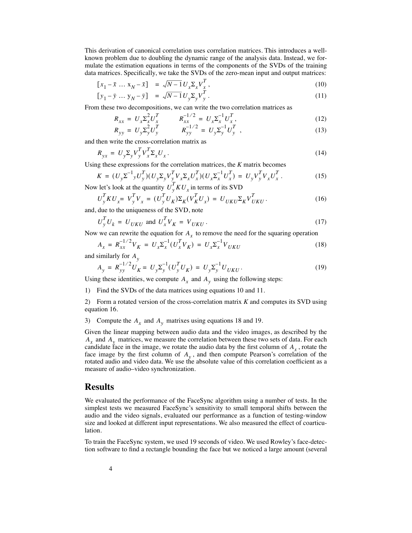This derivation of canonical correlation uses correlation matrices. This introduces a wellknown problem due to doubling the dynamic range of the analysis data. Instead, we formulate the estimation equations in terms of the components of the SVDs of the training data matrices. Specifically, we take the SVDs of the zero-mean input and output matrices:

$$
[x_1 - \bar{x} \dots x_N - \bar{x}] = \sqrt{N - 1} U_x \Sigma_x V_x^T,
$$
\n(10)

$$
[y_1 - \bar{y} \dots y_N - \bar{y}] = \sqrt{N - 1} U_y \Sigma_y V_y^T.
$$
\n
$$
(11)
$$

From these two decompositions, we can write the two correlation matrices as

$$
R_{xx} = U_x \Sigma_x^2 U_x^T \qquad R_{xx}^{-1/2} = U_x \Sigma_x^{-1} U_x^T,
$$
\n(12)

$$
R_{yy} = U_y \Sigma_y^2 U_y^T \qquad R_{yy}^{-1/2} = U_y \Sigma_y^{-1} U_y^T \t\t(13)
$$

and then write the cross-correlation matrix as

$$
R_{yx} = U_y \Sigma_y V_y^T V_x^T \Sigma_x U_x. \tag{14}
$$

Using these expressions for the correlation matrices, the *K* matrix becomes

$$
K = (U_y \Sigma^{-1} y U_y^T)(U_y \Sigma_y V_y^T V_x \Sigma_x U_x^T)(U_x \Sigma_x^{-1} U_x^T) = U_y V_y^T V_x U_x^T.
$$
\n(15)

Now let's look at the quantity  $U_y^T K U_x$  in terms of its SVD

$$
U_y^T K U_x = V_y^T V_x = (U_y^T U_K) \Sigma_K (V_K^T U_x) = U_{UKU} \Sigma_K V_{UKU}^T.
$$
\n(16)

and, due to the uniqueness of the SVD, note

$$
U_y^T U_k = U_{UKU} \text{ and } U_x^T V_K = V_{UKU}.
$$
\n
$$
(17)
$$

Now we can rewrite the equation for  $A_x$  to remove the need for the squaring operation

$$
A_x = R_{xx}^{-1/2} V_K = U_x \Sigma_x^{-1} (U_x^T V_K) = U_x \Sigma_x^{-1} V_{UKU}
$$
\n(18)

and similarly for *Ay*

$$
A_{y} = R_{yy}^{-1/2} U_{K} = U_{y} \Sigma_{y}^{-1} (U_{y}^{T} U_{K}) = U_{y} \Sigma_{y}^{-1} U_{UKU}.
$$
\n(19)

Using these identities, we compute  $A_x$  and  $A_y$  using the following steps:

1) Find the SVDs of the data matrices using equations 10 and 11.

2) Form a rotated version of the cross-correlation matrix *K* and computes its SVD using equation 16.

3) Compute the  $A_x$  and  $A_y$  matrixes using equations 18 and 19.

Given the linear mapping between audio data and the video images, as described by the  $A_r$  and  $A_v$  matrices, we measure the correlation between these two sets of data. For each candidate face in the image, we rotate the audio data by the first column of  $A_r$ , rotate the face image by the first column of  $A_{v}$ , and then compute Pearson's correlation of the rotated audio and video data. We use the absolute value of this correlation coefficient as a measure of audio–video synchronization.  $A_x$  and  $A_y$  matrices, we measure the correlation between these two sets of dat<br>candidate face in the image, we rotate the audio data by the first column of  $A_x$ <br>face image by the first column of  $A_y$ , and then compute P

## **Results**

We evaluated the performance of the FaceSync algorithm using a number of tests. In the simplest tests we measured FaceSync's sensitivity to small temporal shifts between the audio and the video signals, evaluated our performance as a function of testing-window size and looked at different input representations. We also measured the effect of coarticulation.

To train the FaceSync system, we used 19 seconds of video. We used Rowley's face-detection software to find a rectangle bounding the face but we noticed a large amount (several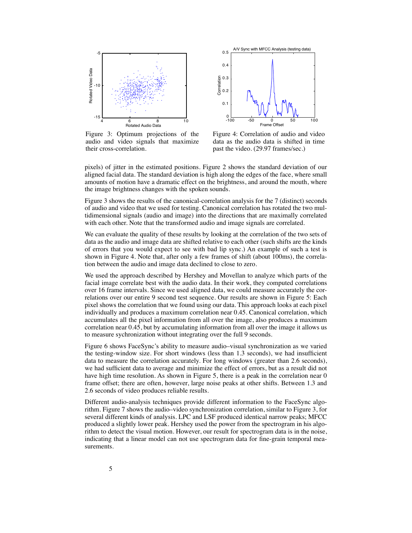

Figure 3: Optimum projections of the audio and video signals that maximize their cross-correlation.



Figure 4: Correlation of audio and video data as the audio data is shifted in time past the video. (29.97 frames/sec.)

pixels) of jitter in the estimated positions. Figure 2 shows the standard deviation of our aligned facial data. The standard deviation is high along the edges of the face, where small amounts of motion have a dramatic effect on the brightness, and around the mouth, where the image brightness changes with the spoken sounds.

Figure 3 shows the results of the canonical-correlation analysis for the 7 (distinct) seconds of audio and video that we used for testing. Canonical correlation has rotated the two multidimensional signals (audio and image) into the directions that are maximally correlated with each other. Note that the transformed audio and image signals are correlated.

We can evaluate the quality of these results by looking at the correlation of the two sets of data as the audio and image data are shifted relative to each other (such shifts are the kinds of errors that you would expect to see with bad lip sync.) An example of such a test is shown in Figure 4. Note that, after only a few frames of shift (about 100ms), the correlation between the audio and image data declined to close to zero.

We used the approach described by Hershey and Movellan to analyze which parts of the facial image correlate best with the audio data. In their work, they computed correlations over 16 frame intervals. Since we used aligned data, we could measure accurately the correlations over our entire 9 second test sequence. Our results are shown in Figure 5: Each pixel shows the correlation that we found using our data. This approach looks at each pixel individually and produces a maximum correlation near 0.45. Canonical correlation, which accumulates all the pixel information from all over the image, also produces a maximum correlation near 0.45, but by accumulating information from all over the image it allows us to measure sychronization without integrating over the full 9 seconds.

Figure 6 shows FaceSync's ability to measure audio–visual synchronization as we varied the testing-window size. For short windows (less than 1.3 seconds), we had insufficient data to measure the correlation accurately. For long windows (greater than 2.6 seconds), we had sufficient data to average and minimize the effect of errors, but as a result did not have high time resolution. As shown in Figure 5, there is a peak in the correlation near 0 frame offset; there are often, however, large noise peaks at other shifts. Between 1.3 and 2.6 seconds of video produces reliable results.

Different audio-analysis techniques provide different information to the FaceSync algorithm. Figure 7 shows the audio–video synchronization correlation, similar to Figure 3, for several different kinds of analysis. LPC and LSF produced identical narrow peaks; MFCC produced a slightly lower peak. Hershey used the power from the spectrogram in his algorithm to detect the visual motion. However, our result for spectrogram data is in the noise, indicating that a linear model can not use spectrogram data for fine-grain temporal measurements.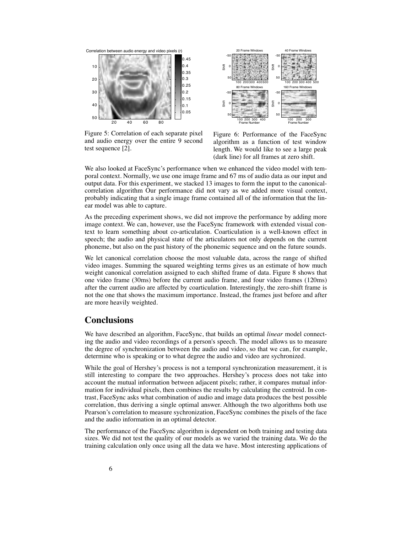

Figure 5: Correlation of each separate pixel and audio energy over the entire 9 second test sequence [2].



Figure 6: Performance of the FaceSync algorithm as a function of test window length. We would like to see a large peak

We also looked at FaceSync's performance when we enhanced the video model with temporal context. Normally, we use one image frame and 67 ms of audio data as our input and output data. For this experiment, we stacked 13 images to form the input to the canonicalcorrelation algorithm Our performance did not vary as we added more visual context, probably indicating that a single image frame contained all of the information that the linear model was able to capture.

As the preceding experiment shows, we did not improve the performance by adding more image context. We can, however, use the FaceSync framework with extended visual context to learn something about co-articulation. Coarticulation is a well-known effect in speech; the audio and physical state of the articulators not only depends on the current phoneme, but also on the past history of the phonemic sequence and on the future sounds.

We let canonical correlation choose the most valuable data, across the range of shifted video images. Summing the squared weighting terms gives us an estimate of how much weight canonical correlation assigned to each shifted frame of data. Figure 8 shows that one video frame (30ms) before the current audio frame, and four video frames (120ms) after the current audio are affected by coarticulation. Interestingly, the zero-shift frame is not the one that shows the maximum importance. Instead, the frames just before and after are more heavily weighted.

## **Conclusions**

We have described an algorithm, FaceSync, that builds an optimal *linear* model connecting the audio and video recordings of a person's speech. The model allows us to measure the degree of synchronization between the audio and video, so that we can, for example, determine who is speaking or to what degree the audio and video are sychronized.

While the goal of Hershey's process is not a temporal synchronization measurement, it is still interesting to compare the two approaches. Hershey's process does not take into account the mutual information between adjacent pixels; rather, it compares mutual information for individual pixels, then combines the results by calculating the centroid. In contrast, FaceSync asks what combination of audio and image data produces the best possible correlation, thus deriving a single optimal answer. Although the two algorithms both use Pearson's correlation to measure sychronization, FaceSync combines the pixels of the face and the audio information in an optimal detector.

The performance of the FaceSync algorithm is dependent on both training and testing data sizes. We did not test the quality of our models as we varied the training data. We do the training calculation only once using all the data we have. Most interesting applications of